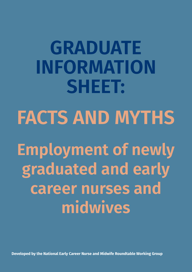**GRADUATE INFORMATION SHEET: FACTS AND MYTHS Employment of newly graduated and early career nurses and midwives**

**Developed by the National Early Career Nurse and Midwife Roundtable Working Group**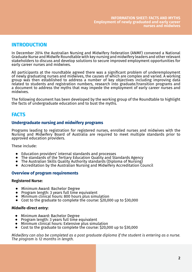## **INTRODUCTION**

In December 2014 the Australian Nursing and Midwifery Federation (ANMF) convened a National Graduate Nurse and Midwife Roundtable with key nursing and midwifery leaders and other relevant stakeholders to discuss and develop solutions to secure improved employment opportunities for early career nurses and midwives.

All participants at the roundtable agreed there was a significant problem of underemployment of newly graduating nurses and midwives, the causes of which are complex and varied. A working group was then established to address a number of key objectives including improving data related to students and registration numbers, research into graduate/transition programs and a document to address the myths that may impede the employment of early career nurses and midwives.

The following document has been developed by the working group of the Roundtable to highlight the facts of undergraduate education and to bust the myths.

## **FACTS**

## **Undergraduate nursing and midwifery programs**

Programs leading to registration for registered nurses, enrolled nurses and midwives with the Nursing and Midwifery Board of Australia are required to meet multiple standards prior to approved education providers.

These include:

- Education providers' internal standards and processes<br>● The standards of the Tertiary Education Quality and Sta
- ⦁ The standards of the Tertiary Education Quality and Standards Agency
- ⦁ The Australian Skills Quality Authority standards (Diploma of Nursing)
- ⦁ Accreditation by the Australian Nursing and Midwifery Accreditation Council

## **Overview of program requirements**

#### **Registered Nurse:**

- ⦁ Minimum Award: Bachelor Degree
- ⦁ Program length: 3 years full time equivalent
- Minimum clinical hours: 800 hours plus simulation
- ⦁ Cost to the graduate to complete the course: \$20,000 up to \$30,000

#### **Midwife-direct entry:**

- ⦁ Minimum Award: Bachelor Degree
- ⦁ Program length: 3 years full time equivalent
- ⦁ Minimum clinical hours: Extensive plus simulation
- ⦁ Cost to the graduate to complete the course: \$20,000 up to \$30,000

*Midwifery can also be completed as a post graduate diploma if the student is entering as a nurse. The program is 12 months in length.*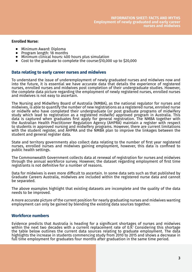#### **Enrolled Nurse:**

- ⦁ Minimum Award: Diploma
- ⦁ Program length: 18 months
- ⦁ Minimum clinical hours: 400 hours plus simulation
- ⦁ Cost to the graduate to complete the course:\$10,000 up to \$20,000

### **Data relating to early career nurses and midwives**

To understand the issue of underemployment of newly graduated nurses and midwives now and into the future, it is essential we have accurate data that details the experience of registered nurses, enrolled nurses and midwives post completion of their undergraduate studies. However, the complete data picture regarding the employment of newly registered nurses, enrolled nurses and midwives is not easy to ascertain.

The Nursing and Midwifery Board of Australia (NMBA), as the national regulator for nurses and midwives, is able to quantify the number of new registrations as a registered nurse, enrolled nurse or midwife who have completed their undergraduate (or post graduate programs of midwifery study which lead to registration as a registered midwife) approved program in Australia. This data is captured when graduates first apply for general registration. The NMBA together with the Australian Health Practitioner Regulation Agency (AHPRA) maintain a register with respect to students in approved nursing and midwifery programs. However, there are current limitations with the student register, and AHPRA and the NMBA plan to improve the linkages between the student and general register data.

State and territory governments also collect data relating to the number of first year registered nurses, enrolled nurses and midwives gaining employment, however, this data is confined to public health settings.

The Commonwealth Government collects data at renewal of registration for nurses and midwives through the annual workforce survey. However, the dataset regarding employment of first time registrants is not definitive for a number of reasons.

Data for midwives is even more difficult to ascertain. In some data sets such as that published by Graduate Careers Australia, midwives are included within the registered nurse data and cannot be separated.

The above examples highlight that existing datasets are incomplete and the quality of the data needs to be improved.

A more accurate picture of the current position for nearly graduating nurses and midwives wanting employment can only be gained by blending the existing data sources together.

### **Workforce numbers**

Evidence predicts that Australia is heading for a significant shortages of nurses and midwives within the next two decades with a current replacement rate of 0.9.<sup>1</sup> Considering this shortage the table below outlines the current data sources relating to graduate employment. The data highlights the increase in students commencing study from 2010 to 2015 and shows a decrease in full time employment for graduates four months after graduation in the same time period.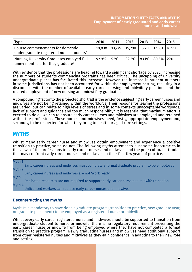| <b>Type</b>                                                                                      | 2010   | 2011   | 2012  | 2013                              | 2014           | 2015 |
|--------------------------------------------------------------------------------------------------|--------|--------|-------|-----------------------------------|----------------|------|
| Course commencments for domestic<br>$\vert$ undergraduate registered nurse students <sup>2</sup> | 18,838 | 13,779 |       | 15,290   16,230   17,581   18,950 |                |      |
| Nursing University Graduates emplyed full<br>time4 months after they graduate <sup>3</sup>       | 92.9%  | 92%    | 92.2% | 83.1%                             | $ 80.5\% 79\%$ |      |

With evidence that the professions are heading toward a significant shortage by 2025, increasing the numbers of students commencing programs has been critical. The uncapping of university undergraduate places has facilitated this increase. However, the increase in student numbers in some jurisdictions has not been accounted for within the employment setting, resulting in a disconnect with the number of available early career nursing and midwifery positions and the related employment of new nursing and midwi fery graduates.

A compounding factor to the projected shortfall is the evidence suggesting early career nurses and midwives are not being retained within the workforce. Their reasons for leaving the professions are varied, but can relate to high levels of stress and in some contexts unacceptable workloads, lack of support and guidance and too much responsibility. $^{\iota}$  It is essential that maximum effort is  $\,$ exerted to do all we can to ensure early career nurses and midwives are employed and retained within the professions. These nurses and midwives need, firstly, appropriate employmentand, secondly, to be respected for what they bring to health or aged care settings.

## **MYTHS**

Whilst many early career nurse and midwives obtain employment and experience a positive transition to practice, some do not. The following myths attempt to bust some inaccuracies in the views of the professions to early career nurses and midwives and the poor cultural attitudes that may confront early career nurses and midwives in their first few years of practice.

Myth 1 Early career nurses and midwives must complete a formal graduate program to be empployed Myth 2

Early career nurses and midwives are not 'work ready'

Myth 3

Dedicated resources are not required to support early career nurse and midwife transition Myth 4

Unlicensed workers can replace early career nurses and midwives

## **Deconstructing the myths**

Myth: It is mandatory to have done a graduate program (transition to practice, new graduate year, or graduate placement) to be employed as a registered nurse or midwife.

Whilst every early career registered nurse and midwives should be supported to transition from undergraduate student to nurse or midwife, there is no regulatory requirement preventing the early career nurse or midwife from being employed where they have not completed a formal transition to practice program. Newly graduating nurses and midwives need additional support from other registered nurses and midwives as they gain confidence in adapting to their new role  $\overline{ }$ and setting.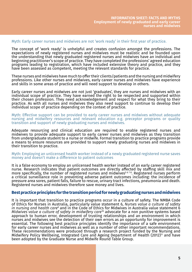#### Myth: Early career nurses and midwives are not 'work ready' in their first year of practice.

The concept of 'work ready' is unhelpful and creates confusion amongst the professions. The expectations of newly registered nurses and midwives must be realistic and be founded upon the understanding that newly graduated registered nurses and midwives have an individual and beginning practitioner's scope of practice. They have completed the professions' agreed education programs leading to registration, which have included extensive theory and practice, and they have been assessed as competent, meeting the relevant standards for practice.

These nurses and midwives have much to offer their clients/patients and the nursing and midwifery professions. Like other nurses and midwives, early career nurses and midwives have experience and skills in some areas of practice and will need support to develop in others.

Early career nurses and midwives are not just 'graduates', they are nurses and midwives with an individual scope of practice. They have earned the right to be respected and supported within their chosen profession. They need acknowledgement and respect for what they bring to their practice. As with all nurses and midwives they also need support to continue to develop their individual scope of practice depending on the context of practice.

Myth: Effective support can be provided to early career nurses and midwives without adequate nursing and midwifery resources and relevant education e.g. preceptor programs or quality transition and support of newly graduating nurses and midwives.

Adequate resourcing and clinical education are required to enable registered nurses and midwives to provide adequate support to early career nurses and midwives as they transition from undergraduate student to a nurse or midwife. Formal transition to practice programs provide a means to ensure resources are provided to support newly graduating nurses and midwives in their transition to practice.

Myth: Employing an unlicensed health worker instead of a newly graduated registered nurse saves money and doesn't make a difference to patient outcomes

It is a false economy to employ an unlicensed health worker instead of an early career registered nurse. Research indicates that patient outcomes are directly affected by staffing skill mix and more specifically, the number of registered nurses and midwives<sup>5678</sup>. Registered nurses perform a critical surveillance role in preventing adverse patient outcomes including: the incidence of pressure area sores, patient falls, failure to rescue, urinary tract infections, pneumonia and death. Registered nurses and midwives therefore save money and lives.

### **Best practice principles for the transition period for newly graduating nurses and midwives**

It is important that transition to practice programs occur in a culture of safety. The NMBA Code of Ethics for Nurses in Australia, particularly value statement 6, *Nurses value a culture of safety*  in nursing and health care<sup>9</sup> and in the Code of Ethics for Midwives in Australia value statement 6 *Midwives value a culture of safety in midwifery care*10 advocate for a non punitive systems based approach to human error, development of trusting relationships and an environment in which nurses and midwives see the detection of their own errors as an opportunity for improvement is essential. The following best practice principles identify the importance of a safe environment for early career nurses and midwives as well as a number of other important recommendations. These recommendations were produced through a research project funded by the Nursing and Midwifery Policy Wellbeing, Integrated Care and Ageing Department of Health (2012)<sup>11</sup> and have been adopted by the Graduate Nurse and Midwife Round Table Group.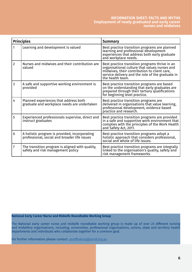#### **INFORMATION SHEET: FACTS AND MYTHS Employment of newly graduated and early career nurses and midwives**

| <b>Principles</b> |                                                                                               | <b>Summary</b>                                                                                                                                                                                                          |  |  |  |
|-------------------|-----------------------------------------------------------------------------------------------|-------------------------------------------------------------------------------------------------------------------------------------------------------------------------------------------------------------------------|--|--|--|
| 1                 | Learning and development is valued                                                            | Best practice transition programs are planned<br>learning and professional development<br>experiences that address both early graduate<br>and workplace needs.                                                          |  |  |  |
| $\overline{2}$    | Nurses and midwives and their contribution are<br>valued                                      | Best practice transition programs thrive in an<br>organisational culture that values nurses and<br>midwives, their contribution to client care,<br>service delivery and the role of the graduate in<br>the health team. |  |  |  |
| 3                 | A safe and supportive working environment is<br>provided                                      | Best practice transition programs are based<br>on the understanding that early graduates are<br>prepared through their tertiary qualifications<br>for beginning level practice.                                         |  |  |  |
| 4                 | Planned experiences that address both<br>graduate and workplace needs are undertaken          | Best practice transition programs are<br>delivered in organisations that value learning,<br>professional development, evidence based<br>practice and research.                                                          |  |  |  |
| 5                 | Experienced professionals supervise, direct and<br>instruct graduates                         | Best practice transition programs are provided<br>in a safe and supportive work environment that<br>complies with the principles of the Work Health<br>and Safety Act, 2011.                                            |  |  |  |
| 6                 | A holistic program is provided, incorporating<br>professional, social and broader life issues | Best practice transition programs adopt a<br>holistic approach that considers professional,<br>social and whole of life issues.                                                                                         |  |  |  |
| 7                 | The transition program is aligned with quality,<br>safety and risk management policy          | Best practice transition programs are integrally<br>linked to the organisation's quality, safety and<br>risk management frameworks.                                                                                     |  |  |  |

### **National Early Career Nurse and Midwife Roundtable Working Group**

The National early career nurse and midwife roundtable working group is made up of over 23 different nursing and midwifery organisations, including, universities, professional organisations, unions, state and territory health departments and individuals who collaborate together for a common goal.

For further information please contact: anmffederal@anmf.org.au